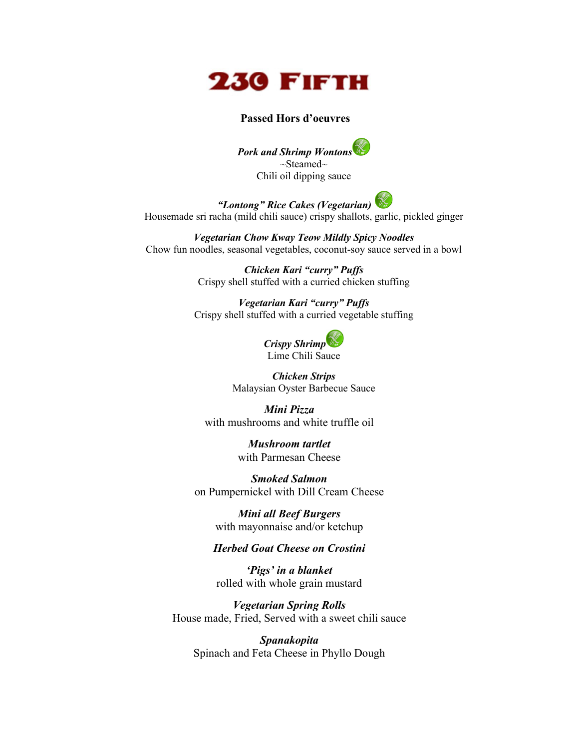

#### **Passed Hors d'oeuvres**

*Pork and Shrimp Wontons* ~Steamed~ Chili oil dipping sauce

*"Lontong" Rice Cakes (Vegetarian)* Housemade sri racha (mild chili sauce) crispy shallots, garlic, pickled ginger

*Vegetarian Chow Kway Teow Mildly Spicy Noodles* Chow fun noodles, seasonal vegetables, coconut-soy sauce served in a bowl

> *Chicken Kari "curry" Puffs* Crispy shell stuffed with a curried chicken stuffing

*Vegetarian Kari "curry" Puffs* Crispy shell stuffed with a curried vegetable stuffing

> *Crispy Shrimp* Lime Chili Sauce

*Chicken Strips* Malaysian Oyster Barbecue Sauce

*Mini Pizza* with mushrooms and white truffle oil

> *Mushroom tartlet* with Parmesan Cheese

*Smoked Salmon* on Pumpernickel with Dill Cream Cheese

> *Mini all Beef Burgers* with mayonnaise and/or ketchup

### *Herbed Goat Cheese on Crostini*

*'Pigs' in a blanket* rolled with whole grain mustard

*Vegetarian Spring Rolls* House made, Fried, Served with a sweet chili sauce

*Spanakopita* Spinach and Feta Cheese in Phyllo Dough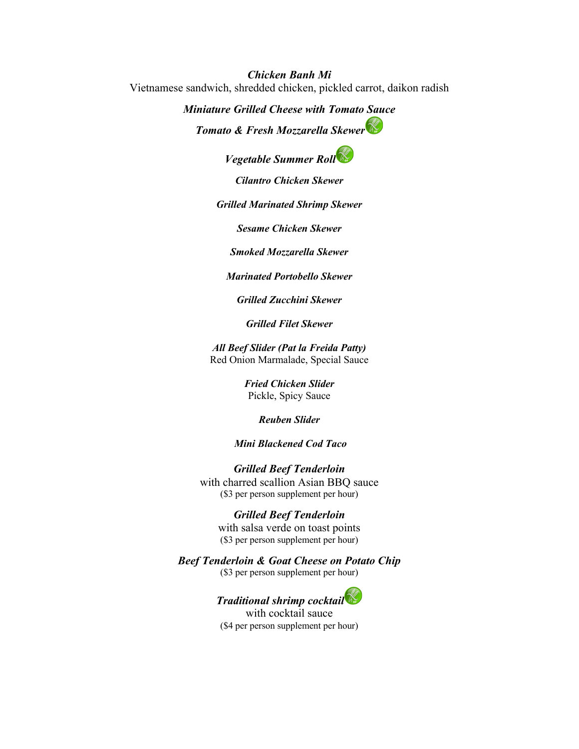*Chicken Banh Mi* Vietnamese sandwich, shredded chicken, pickled carrot, daikon radish

> *Miniature Grilled Cheese with Tomato Sauce Tomato & Fresh Mozzarella Skewer*

> > *Vegetable Summer Roll*

*Cilantro Chicken Skewer*

*Grilled Marinated Shrimp Skewer*

*Sesame Chicken Skewer*

*Smoked Mozzarella Skewer*

*Marinated Portobello Skewer*

*Grilled Zucchini Skewer*

*Grilled Filet Skewer*

*All Beef Slider (Pat la Freida Patty)* Red Onion Marmalade, Special Sauce

> *Fried Chicken Slider* Pickle, Spicy Sauce

> > *Reuben Slider*

#### *Mini Blackened Cod Taco*

*Grilled Beef Tenderloin* with charred scallion Asian BBQ sauce (\$3 per person supplement per hour)

#### *Grilled Beef Tenderloin*

with salsa verde on toast points (\$3 per person supplement per hour)

*Beef Tenderloin & Goat Cheese on Potato Chip*

(\$3 per person supplement per hour)



with cocktail sauce (\$4 per person supplement per hour)